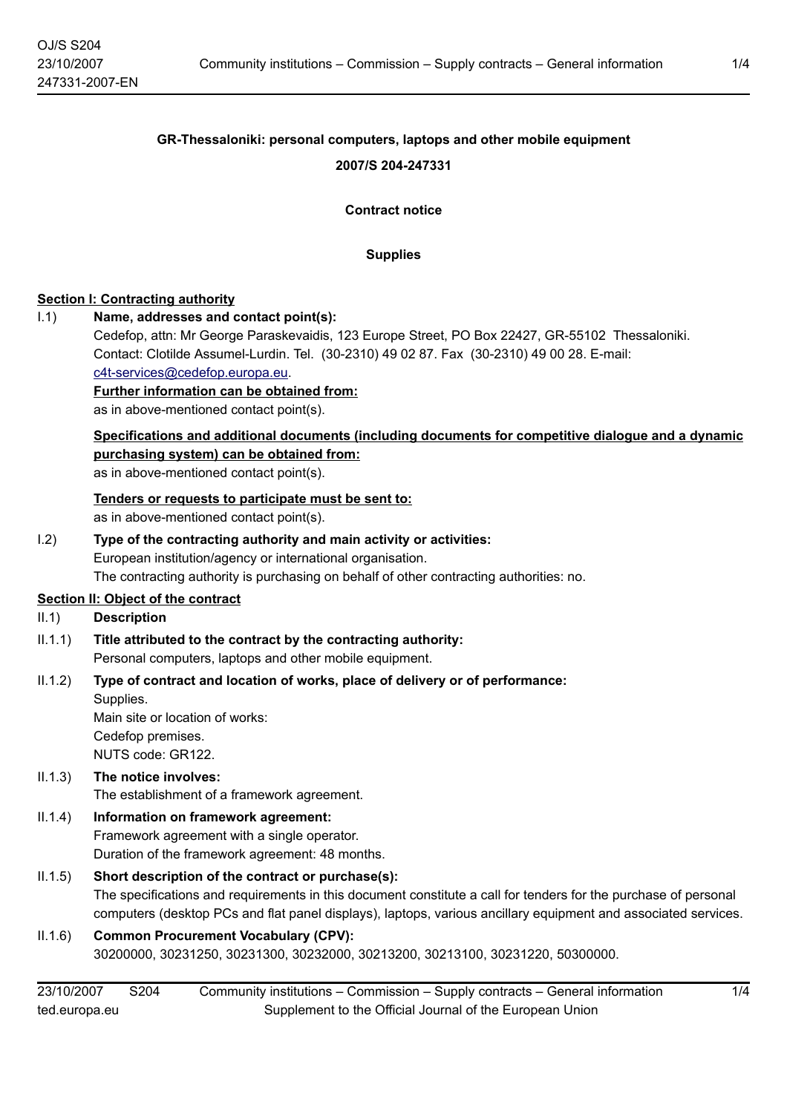# **GR-Thessaloniki: personal computers, laptops and other mobile equipment**

**2007/S 204-247331**

#### **Contract notice**

#### **Supplies**

#### **Section I: Contracting authority**

I.1) **Name, addresses and contact point(s):**

Cedefop, attn: Mr George Paraskevaidis, 123 Europe Street, PO Box 22427, GR-55102 Thessaloniki. Contact: Clotilde Assumel-Lurdin. Tel. (30-2310) 49 02 87. Fax (30-2310) 49 00 28. E-mail: [c4t-services@cedefop.europa.eu.](mailto:c4t-services@cedefop.europa.eu)

# **Further information can be obtained from:**

as in above-mentioned contact point(s).

# **Specifications and additional documents (including documents for competitive dialogue and a dynamic purchasing system) can be obtained from:**

as in above-mentioned contact point(s).

#### **Tenders or requests to participate must be sent to:**

as in above-mentioned contact point(s).

I.2) **Type of the contracting authority and main activity or activities:**

European institution/agency or international organisation.

The contracting authority is purchasing on behalf of other contracting authorities: no.

# **Section II: Object of the contract**

- II.1) **Description**
- II.1.1) **Title attributed to the contract by the contracting authority:**

Personal computers, laptops and other mobile equipment.

### II.1.2) **Type of contract and location of works, place of delivery or of performance:**

Supplies. Main site or location of works: Cedefop premises. NUTS code: GR122.

## II.1.3) **The notice involves:**

The establishment of a framework agreement.

# II.1.4) **Information on framework agreement:**

Framework agreement with a single operator. Duration of the framework agreement: 48 months.

### II.1.5) **Short description of the contract or purchase(s):**

The specifications and requirements in this document constitute a call for tenders for the purchase of personal computers (desktop PCs and flat panel displays), laptops, various ancillary equipment and associated services.

### II.1.6) **Common Procurement Vocabulary (CPV):**

30200000, 30231250, 30231300, 30232000, 30213200, 30213100, 30231220, 50300000.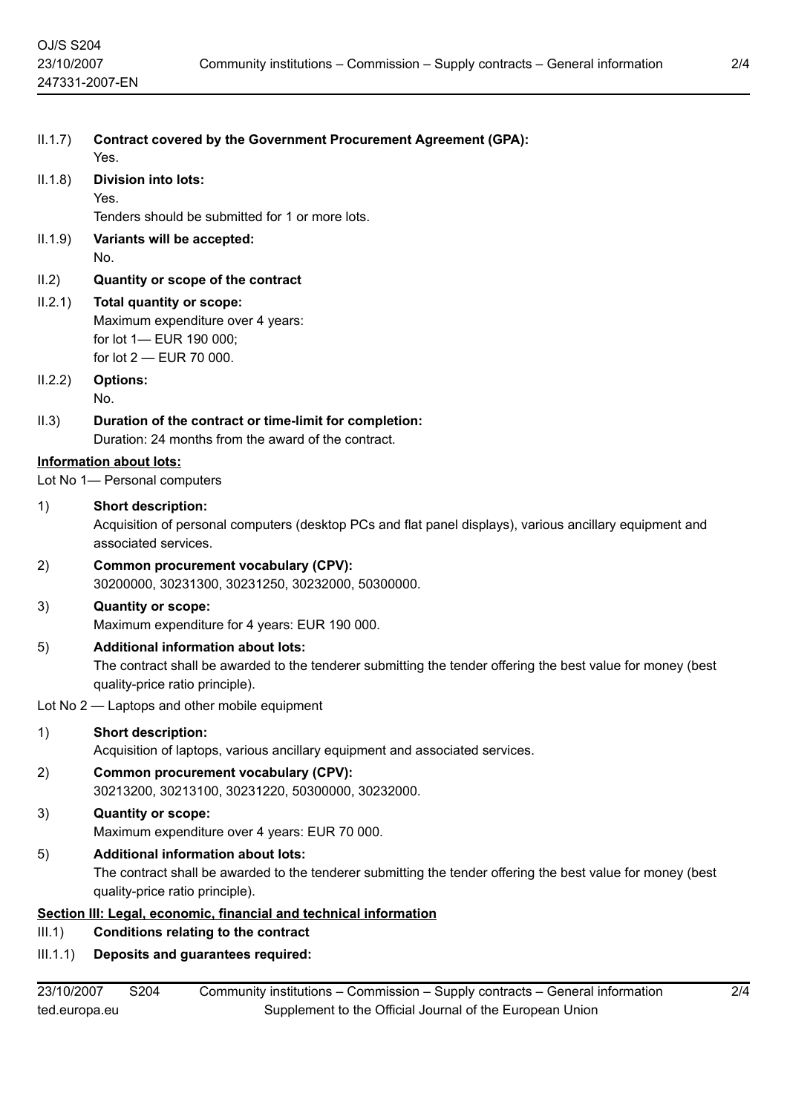| II.1.7)                                                                                           | <b>Contract covered by the Government Procurement Agreement (GPA):</b><br>Yes.                                                   |
|---------------------------------------------------------------------------------------------------|----------------------------------------------------------------------------------------------------------------------------------|
| II.1.8)                                                                                           | <b>Division into lots:</b>                                                                                                       |
|                                                                                                   | Yes.                                                                                                                             |
|                                                                                                   | Tenders should be submitted for 1 or more lots.                                                                                  |
| II.1.9)                                                                                           | Variants will be accepted:                                                                                                       |
|                                                                                                   | No.                                                                                                                              |
| II.2)                                                                                             | Quantity or scope of the contract                                                                                                |
| II.2.1)                                                                                           | <b>Total quantity or scope:</b>                                                                                                  |
|                                                                                                   | Maximum expenditure over 4 years:                                                                                                |
|                                                                                                   | for lot 1- EUR 190 000;                                                                                                          |
|                                                                                                   | for lot 2 - EUR 70 000.                                                                                                          |
| II.2.2)                                                                                           | <b>Options:</b>                                                                                                                  |
|                                                                                                   | No.                                                                                                                              |
| II.3)                                                                                             | Duration of the contract or time-limit for completion:                                                                           |
|                                                                                                   | Duration: 24 months from the award of the contract.                                                                              |
| <b>Information about lots:</b><br>Lot No 1- Personal computers                                    |                                                                                                                                  |
|                                                                                                   |                                                                                                                                  |
| 1)                                                                                                | <b>Short description:</b>                                                                                                        |
|                                                                                                   | Acquisition of personal computers (desktop PCs and flat panel displays), various ancillary equipment and<br>associated services. |
|                                                                                                   |                                                                                                                                  |
| 2)                                                                                                | <b>Common procurement vocabulary (CPV):</b><br>30200000, 30231300, 30231250, 30232000, 50300000.                                 |
|                                                                                                   |                                                                                                                                  |
| 3)                                                                                                | <b>Quantity or scope:</b><br>Maximum expenditure for 4 years: EUR 190 000.                                                       |
|                                                                                                   | <b>Additional information about lots:</b>                                                                                        |
| 5)                                                                                                | The contract shall be awarded to the tenderer submitting the tender offering the best value for money (best                      |
|                                                                                                   | quality-price ratio principle).                                                                                                  |
|                                                                                                   | Lot No 2 - Laptops and other mobile equipment                                                                                    |
|                                                                                                   |                                                                                                                                  |
| 1)                                                                                                | <b>Short description:</b><br>Acquisition of laptops, various ancillary equipment and associated services.                        |
|                                                                                                   |                                                                                                                                  |
| 2)                                                                                                | Common procurement vocabulary (CPV):<br>30213200, 30213100, 30231220, 50300000, 30232000.                                        |
|                                                                                                   |                                                                                                                                  |
| 3)                                                                                                | <b>Quantity or scope:</b><br>Maximum expenditure over 4 years: EUR 70 000.                                                       |
|                                                                                                   | <b>Additional information about lots:</b>                                                                                        |
| 5)                                                                                                | The contract shall be awarded to the tenderer submitting the tender offering the best value for money (best                      |
|                                                                                                   | quality-price ratio principle).                                                                                                  |
| Section III: Legal, economic, financial and technical information                                 |                                                                                                                                  |
| III.1)                                                                                            | <b>Conditions relating to the contract</b>                                                                                       |
| III.1.1)                                                                                          | Deposits and guarantees required:                                                                                                |
|                                                                                                   |                                                                                                                                  |
| Community institutions Commission<br>0.001<br>Cunalyzanterate Canaval information<br>$22/10/2002$ |                                                                                                                                  |

2/4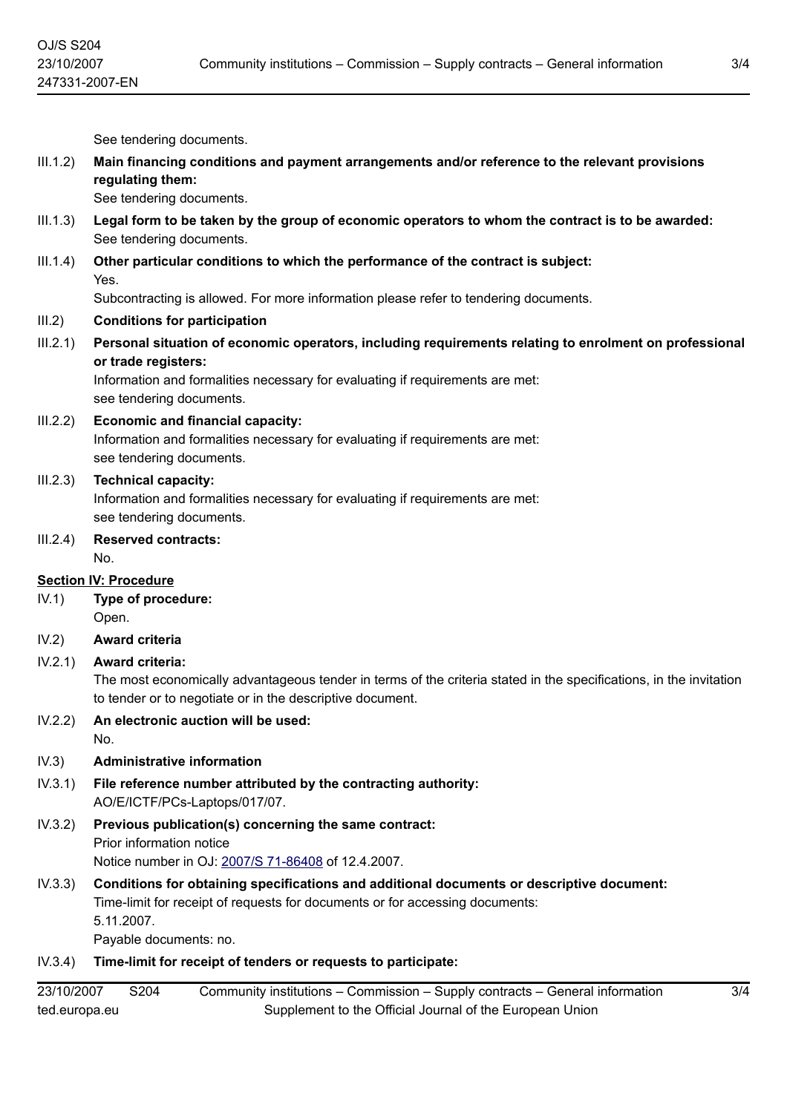See tendering documents.

- III.1.2) **Main financing conditions and payment arrangements and/or reference to the relevant provisions regulating them:** See tendering documents.
- III.1.3) **Legal form to be taken by the group of economic operators to whom the contract is to be awarded:** See tendering documents.
- III.1.4) **Other particular conditions to which the performance of the contract is subject:** Yes.

Subcontracting is allowed. For more information please refer to tendering documents.

- III.2) **Conditions for participation**
- III.2.1) **Personal situation of economic operators, including requirements relating to enrolment on professional or trade registers:**

Information and formalities necessary for evaluating if requirements are met: see tendering documents.

III.2.2) **Economic and financial capacity:**

Information and formalities necessary for evaluating if requirements are met: see tendering documents.

## III.2.3) **Technical capacity:**

Information and formalities necessary for evaluating if requirements are met: see tendering documents.

III.2.4) **Reserved contracts:** No.

## **Section IV: Procedure**

- IV.1) **Type of procedure:** Open.
- IV.2) **Award criteria**
- IV.2.1) **Award criteria:**

The most economically advantageous tender in terms of the criteria stated in the specifications, in the invitation to tender or to negotiate or in the descriptive document.

- IV.2.2) **An electronic auction will be used:** No.
- IV.3) **Administrative information**
- IV.3.1) **File reference number attributed by the contracting authority:** AO/E/ICTF/PCs-Laptops/017/07.
- IV.3.2) **Previous publication(s) concerning the same contract:** Prior information notice Notice number in OJ: [2007/S 71-86408](http://ted.europa.eu/udl?REQUEST=Seek-Deliver&LANGUAGE=en&DOCID=86408-2007) of 12.4.2007.
- IV.3.3) **Conditions for obtaining specifications and additional documents or descriptive document:** Time-limit for receipt of requests for documents or for accessing documents: 5.11.2007.

Payable documents: no.

# IV.3.4) **Time-limit for receipt of tenders or requests to participate:**

23/10/2007 S204 ted.europa.eu Community institutions – Commission – Supply contracts – General information Supplement to the Official Journal of the European Union